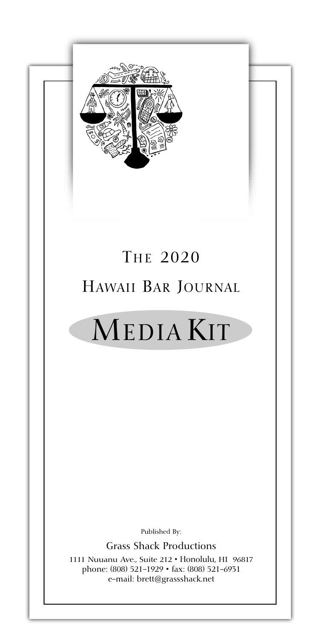

## THE 2020 HAWAII BAR JOURNAL

# MEDIA KIT

Published By:

Grass Shack Productions

1111 Nuuanu Ave., Suite 212 • Honolulu, HI 96817 phone: (808) 521-1929 • fax: (808) 521-6931 e-mail: brett@grassshack.net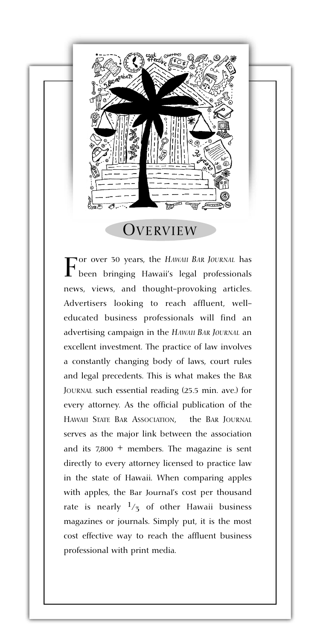

**OVERVIEW** 

 $\Gamma$  been bringing Hawaii's legal professionals news, views, and thought-provoking articles. Advertisers looking to reach affluent, welleducated business professionals will find an advertising campaign in the *HAWAII BAR JOURNAL* an excellent investment. The practice of law involves a constantly changing body of laws, court rules and legal precedents. This is what makes the BAR JOURNAL such essential reading (25.5 min. ave.) for every attorney. As the official publication of the HAWAII STATE BAR ASSOCIATION, the BAR JOURNAL serves as the major link between the association and its  $7,800 +$  members. The magazine is sent directly to every attorney licensed to practice law in the state of Hawaii. When comparing apples with apples, the Bar Journal's cost per thousand rate is nearly  $\frac{1}{3}$  of other Hawaii business magazines or journals. Simply put, it is the most cost effective way to reach the affluent business professional with print media.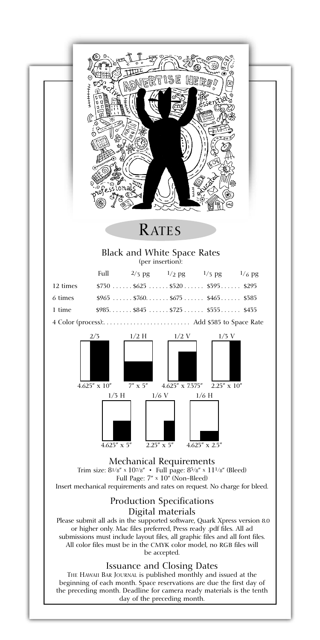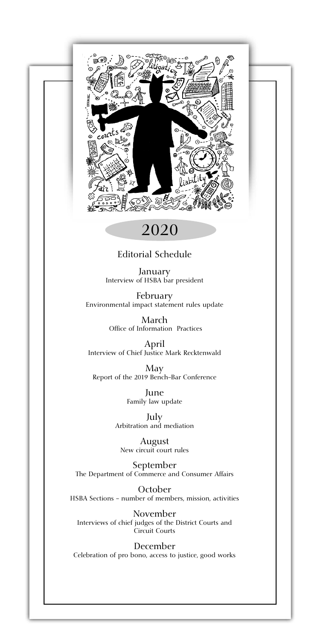

### 2020

### Editorial Schedule

January Interview of HSBA bar president

February Environmental impact statement rules update

> March Office of Information Practices

April Interview of Chief Justice Mark Recktenwald

May Report of the 2019 Bench-Bar Conference

> June Family law update

July Arbitration and mediation

August New circuit court rules

September The Department of Commerce and Consumer Affairs

October HSBA Sections - number of members, mission, activities

November Interviews of chief judges of the District Courts and Circuit Courts

December Celebration of pro bono, access to justice, good works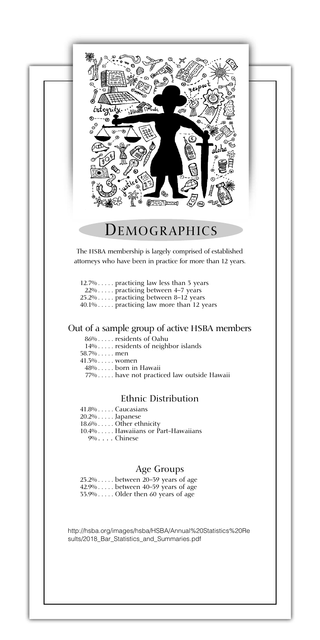

### DEMOGRAPHICS

The HSBA membership is largely comprised of established attorneys who have been in practice for more than 12 years.

| $12.7\%$ practicing law less than 3 years  |                                            |
|--------------------------------------------|--------------------------------------------|
| $22\% \ldots$ practicing between 4–7 years |                                            |
| 25.2% practicing between 8–12 years        |                                            |
|                                            | $40.1\%$ practicing law more than 12 years |

### Out of a sample group of active HSBA members

|              | 86%residents of Oahu                      |
|--------------|-------------------------------------------|
|              | 14% residents of neighbor islands         |
| $58.7\%$ men |                                           |
|              | $41.3\% \dots$ women                      |
|              | 48%born in Hawaii                         |
|              | 77% have not practiced law outside Hawaii |

### Ethnic Distribution

41.8% . . . . . Caucasians 20.2% . . . . . Japanese 18.6% . . . . . Other ethnicity 10.4% . . . . . Hawaiians or Part-Hawaiians 9% . . . . Chinese

#### Age Groups

23.2% . . . . . between 20–39 years of age 42.9% . . . . . between 40-59 years of age  $33.9\%$  . . . . . Older then 60 years of age

http://hsba.org/images/hsba/HSBA/Annual%20Statistics%20Re sults/2018\_Bar\_Statistics\_and\_Summaries.pdf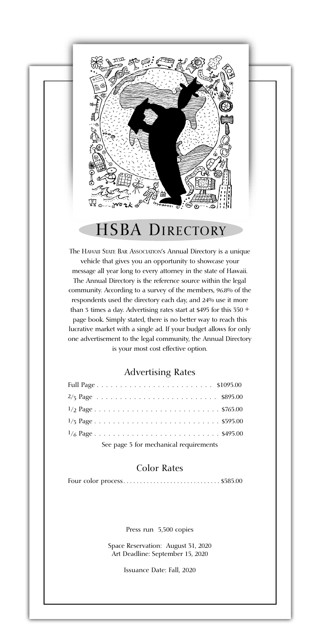

### HSBA DIRECTORY

The HAWAII STATE BAR ASSOCIATION's Annual Directory is a unique vehicle that gives you an opportunity to showcase your message all year long to every attorney in the state of Hawaii. The Annual Directory is the reference source within the legal community. According to a survey of the members, 96.8% of the respondents used the directory each day, and 24% use it more than 3 times a day. Advertising rates start at \$495 for this 350 + page book. Simply stated, there is no better way to reach this lucrative market with a single ad. If your budget allows for only one advertisement to the legal community, the Annual Directory is your most cost effective option.

#### Advertising Rates

| See page 3 for mechanical requirements |  |  |
|----------------------------------------|--|--|

#### Color Rates

Four color process . . . . . . . . . . . . . . . . . . . . . . . . . . . . . \$585.00

Press run 5,500 copies

Space Reservation: August 31, 2020 Art Deadline: September 15, 2020

Issuance Date: Fall, 2020